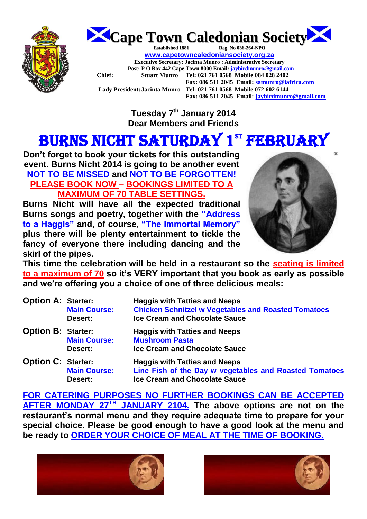



**Tuesday 7th January 2014 Dear Members and Friends**

# BURNS NICHT SATURDAY 1ST FEBRUARY

**Don't forget to book your tickets for this outstanding event. Burns Nicht 2014 is going to be another event NOT TO BE MISSED and NOT TO BE FORGOTTEN! PLEASE BOOK NOW – BOOKINGS LIMITED TO A MAXIMUM OF 70 TABLE SETTINGS.**

**Burns Nicht will have all the expected traditional Burns songs and poetry, together with the "Address to a Haggis" and, of course, "The Immortal Memory" plus there will be plenty entertainment to tickle the fancy of everyone there including dancing and the skirl of the pipes.** 



**This time the celebration will be held in a restaurant so the seating is limited to a maximum of 70 so it's VERY important that you book as early as possible and we're offering you a choice of one of three delicious meals:** 

| <b>Option A: Starter:</b> | <b>Main Course:</b><br>Desert: | <b>Haggis with Tatties and Neeps</b><br><b>Chicken Schnitzel w Vegetables and Roasted Tomatoes</b><br><b>Ice Cream and Chocolate Sauce</b> |
|---------------------------|--------------------------------|--------------------------------------------------------------------------------------------------------------------------------------------|
| <b>Option B: Starter:</b> | <b>Main Course:</b><br>Desert: | <b>Haggis with Tatties and Neeps</b><br><b>Mushroom Pasta</b><br><b>Ice Cream and Chocolate Sauce</b>                                      |
| <b>Option C: Starter:</b> | <b>Main Course:</b><br>Desert: | <b>Haggis with Tatties and Neeps</b><br>Line Fish of the Day w vegetables and Roasted Tomatoes<br><b>Ice Cream and Chocolate Sauce</b>     |

**FOR CATERING PURPOSES NO FURTHER BOOKINGS CAN BE ACCEPTED AFTER MONDAY 27TH JANUARY 2104. The above options are not on the restaurant's normal menu and they require adequate time to prepare for your special choice. Please be good enough to have a good look at the menu and be ready to ORDER YOUR CHOICE OF MEAL AT THE TIME OF BOOKING.**



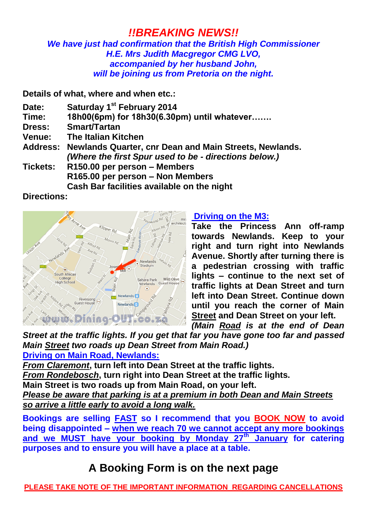### *!!BREAKING NEWS!!*

#### *We have just had confirmation that the British High Commissioner H.E. Mrs Judith Macgregor CMG LVO, accompanied by her husband John, will be joining us from Pretoria on the night.*

**Details of what, where and when etc.:**

- **Date: Saturday 1st February 2014**
- **Time: 18h00(6pm) for 18h30(6.30pm) until whatever…….**
- **Dress: Smart/Tartan**
- **Venue: The Italian Kitchen**
- **Address: Newlands Quarter, cnr Dean and Main Streets, Newlands.** *(Where the first Spur used to be - directions below.)*
- **Tickets: R150.00 per person – Members R165.00 per person – Non Members Cash Bar facilities available on the night**

#### **Directions:**



#### **Driving on the M3:**

**Take the Princess Ann off-ramp towards Newlands. Keep to your right and turn right into Newlands Avenue. Shortly after turning there is a pedestrian crossing with traffic lights – continue to the next set of traffic lights at Dean Street and turn left into Dean Street. Continue down until you reach the corner of Main Street and Dean Street on your left.**  *(Main Road is at the end of Dean* 

*Street at the traffic lights. If you get that far you have gone too far and passed Main Street two roads up Dean Street from Main Road.)*  **Driving on Main Road, Newlands:** 

*From Claremont***, turn left into Dean Street at the traffic lights.** 

*From Rondebosch***, turn right into Dean Street at the traffic lights.**

**Main Street is two roads up from Main Road, on your left.**

*Please be aware that parking is at a premium in both Dean and Main Streets so arrive a little early to avoid a long walk.*

**Bookings are selling FAST so I recommend that you BOOK NOW to avoid being disappointed – when we reach 70 we cannot accept any more bookings and we MUST have your booking by Monday 27th January for catering purposes and to ensure you will have a place at a table.**

## **A Booking Form is on the next page**

**PLEASE TAKE NOTE OF THE IMPORTANT INFORMATION REGARDING CANCELLATIONS**